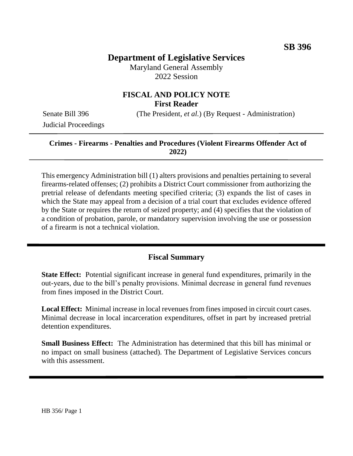## **Department of Legislative Services**

Maryland General Assembly 2022 Session

## **FISCAL AND POLICY NOTE First Reader**

Senate Bill 396 (The President, *et al.*) (By Request - Administration)

Judicial Proceedings

#### **Crimes - Firearms - Penalties and Procedures (Violent Firearms Offender Act of 2022)**

This emergency Administration bill (1) alters provisions and penalties pertaining to several firearms-related offenses; (2) prohibits a District Court commissioner from authorizing the pretrial release of defendants meeting specified criteria; (3) expands the list of cases in which the State may appeal from a decision of a trial court that excludes evidence offered by the State or requires the return of seized property; and (4) specifies that the violation of a condition of probation, parole, or mandatory supervision involving the use or possession of a firearm is not a technical violation.

## **Fiscal Summary**

**State Effect:** Potential significant increase in general fund expenditures, primarily in the out-years, due to the bill's penalty provisions. Minimal decrease in general fund revenues from fines imposed in the District Court.

**Local Effect:** Minimal increase in local revenues from fines imposed in circuit court cases. Minimal decrease in local incarceration expenditures, offset in part by increased pretrial detention expenditures.

**Small Business Effect:** The Administration has determined that this bill has minimal or no impact on small business (attached). The Department of Legislative Services concurs with this assessment.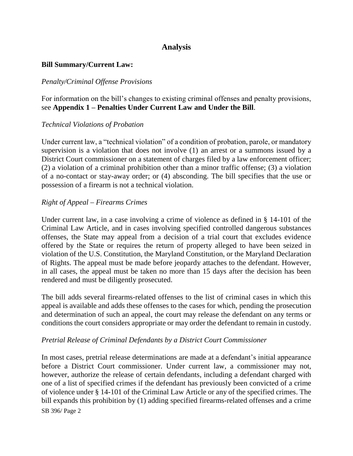## **Analysis**

#### **Bill Summary/Current Law:**

#### *Penalty/Criminal Offense Provisions*

For information on the bill's changes to existing criminal offenses and penalty provisions, see **Appendix 1 – Penalties Under Current Law and Under the Bill**.

#### *Technical Violations of Probation*

Under current law, a "technical violation" of a condition of probation, parole, or mandatory supervision is a violation that does not involve (1) an arrest or a summons issued by a District Court commissioner on a statement of charges filed by a law enforcement officer; (2) a violation of a criminal prohibition other than a minor traffic offense; (3) a violation of a no-contact or stay-away order; or (4) absconding. The bill specifies that the use or possession of a firearm is not a technical violation.

#### *Right of Appeal – Firearms Crimes*

Under current law, in a case involving a crime of violence as defined in § 14-101 of the Criminal Law Article, and in cases involving specified controlled dangerous substances offenses, the State may appeal from a decision of a trial court that excludes evidence offered by the State or requires the return of property alleged to have been seized in violation of the U.S. Constitution, the Maryland Constitution, or the Maryland Declaration of Rights. The appeal must be made before jeopardy attaches to the defendant. However, in all cases, the appeal must be taken no more than 15 days after the decision has been rendered and must be diligently prosecuted.

The bill adds several firearms-related offenses to the list of criminal cases in which this appeal is available and adds these offenses to the cases for which, pending the prosecution and determination of such an appeal, the court may release the defendant on any terms or conditions the court considers appropriate or may order the defendant to remain in custody.

#### *Pretrial Release of Criminal Defendants by a District Court Commissioner*

SB 396/ Page 2 In most cases, pretrial release determinations are made at a defendant's initial appearance before a District Court commissioner. Under current law, a commissioner may not, however, authorize the release of certain defendants, including a defendant charged with one of a list of specified crimes if the defendant has previously been convicted of a crime of violence under § 14-101 of the Criminal Law Article or any of the specified crimes. The bill expands this prohibition by (1) adding specified firearms-related offenses and a crime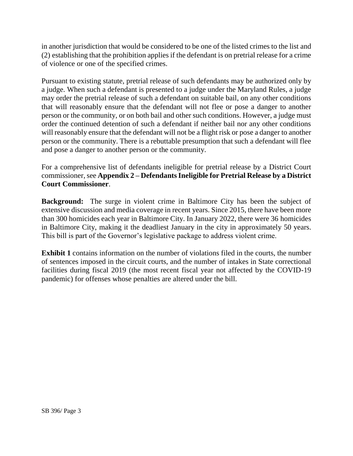in another jurisdiction that would be considered to be one of the listed crimes to the list and (2) establishing that the prohibition applies if the defendant is on pretrial release for a crime of violence or one of the specified crimes.

Pursuant to existing statute, pretrial release of such defendants may be authorized only by a judge. When such a defendant is presented to a judge under the Maryland Rules, a judge may order the pretrial release of such a defendant on suitable bail, on any other conditions that will reasonably ensure that the defendant will not flee or pose a danger to another person or the community, or on both bail and other such conditions. However, a judge must order the continued detention of such a defendant if neither bail nor any other conditions will reasonably ensure that the defendant will not be a flight risk or pose a danger to another person or the community. There is a rebuttable presumption that such a defendant will flee and pose a danger to another person or the community.

For a comprehensive list of defendants ineligible for pretrial release by a District Court commissioner, see Appendix 2 – Defendants Ineligible for Pretrial Release by a District **Court Commissioner**.

**Background:** The surge in violent crime in Baltimore City has been the subject of extensive discussion and media coverage in recent years. Since 2015, there have been more than 300 homicides each year in Baltimore City. In January 2022, there were 36 homicides in Baltimore City, making it the deadliest January in the city in approximately 50 years. This bill is part of the Governor's legislative package to address violent crime.

**Exhibit 1** contains information on the number of violations filed in the courts, the number of sentences imposed in the circuit courts, and the number of intakes in State correctional facilities during fiscal 2019 (the most recent fiscal year not affected by the COVID-19 pandemic) for offenses whose penalties are altered under the bill.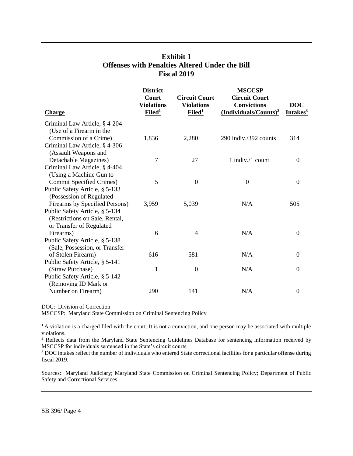## **Exhibit 1 Offenses with Penalties Altered Under the Bill Fiscal 2019**

| <b>Charge</b>                   | <b>District</b><br>Court<br><b>Violations</b><br>Filed <sup>1</sup> | <b>Circuit Court</b><br><b>Violations</b><br>Filed <sup>1</sup> | <b>MSCCSP</b><br><b>Circuit Court</b><br><b>Convictions</b><br>(Individuals/Counts) <sup>2</sup> | <b>DOC</b><br>Intakes <sup>3</sup> |
|---------------------------------|---------------------------------------------------------------------|-----------------------------------------------------------------|--------------------------------------------------------------------------------------------------|------------------------------------|
| Criminal Law Article, § 4-204   |                                                                     |                                                                 |                                                                                                  |                                    |
| (Use of a Firearm in the        |                                                                     |                                                                 |                                                                                                  |                                    |
| Commission of a Crime)          | 1,836                                                               | 2,280                                                           | 290 indiv./392 counts                                                                            | 314                                |
| Criminal Law Article, § 4-306   |                                                                     |                                                                 |                                                                                                  |                                    |
| (Assault Weapons and            |                                                                     |                                                                 |                                                                                                  |                                    |
| Detachable Magazines)           | 7                                                                   | 27                                                              | 1 indiv./1 count                                                                                 | $\overline{0}$                     |
| Criminal Law Article, § 4-404   |                                                                     |                                                                 |                                                                                                  |                                    |
| (Using a Machine Gun to         |                                                                     |                                                                 |                                                                                                  |                                    |
| <b>Commit Specified Crimes)</b> | 5                                                                   | $\overline{0}$                                                  | $\mathbf{0}$                                                                                     | $\mathbf{0}$                       |
| Public Safety Article, § 5-133  |                                                                     |                                                                 |                                                                                                  |                                    |
| (Possession of Regulated        |                                                                     |                                                                 |                                                                                                  |                                    |
| Firearms by Specified Persons)  | 3,959                                                               | 5,039                                                           | N/A                                                                                              | 505                                |
| Public Safety Article, § 5-134  |                                                                     |                                                                 |                                                                                                  |                                    |
| (Restrictions on Sale, Rental,  |                                                                     |                                                                 |                                                                                                  |                                    |
| or Transfer of Regulated        |                                                                     |                                                                 |                                                                                                  |                                    |
| Firearms)                       | 6                                                                   | $\overline{4}$                                                  | N/A                                                                                              | $\Omega$                           |
| Public Safety Article, § 5-138  |                                                                     |                                                                 |                                                                                                  |                                    |
| (Sale, Possession, or Transfer) |                                                                     |                                                                 |                                                                                                  |                                    |
| of Stolen Firearm)              | 616                                                                 | 581                                                             | N/A                                                                                              | $\Omega$                           |
| Public Safety Article, § 5-141  |                                                                     |                                                                 |                                                                                                  |                                    |
| (Straw Purchase)                | 1                                                                   | $\boldsymbol{0}$                                                | N/A                                                                                              | $\boldsymbol{0}$                   |
| Public Safety Article, § 5-142  |                                                                     |                                                                 |                                                                                                  |                                    |
| (Removing ID Mark or            |                                                                     |                                                                 |                                                                                                  |                                    |
| Number on Firearm)              | 290                                                                 | 141                                                             | N/A                                                                                              | $\boldsymbol{0}$                   |

DOC: Division of Correction

MSCCSP: Maryland State Commission on Criminal Sentencing Policy

<sup>1</sup>A violation is a charged filed with the court. It is not a conviction, and one person may be associated with multiple violations.

<sup>2</sup> Reflects data from the Maryland State Sentencing Guidelines Database for sentencing information received by MSCCSP for individuals sentenced in the State's circuit courts.

<sup>3</sup> DOC intakes reflect the number of individuals who entered State correctional facilities for a particular offense during fiscal 2019.

Sources: Maryland Judiciary; Maryland State Commission on Criminal Sentencing Policy; Department of Public Safety and Correctional Services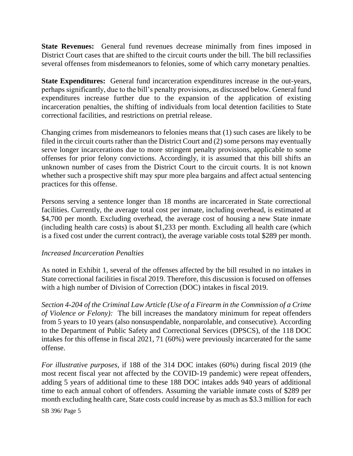**State Revenues:** General fund revenues decrease minimally from fines imposed in District Court cases that are shifted to the circuit courts under the bill. The bill reclassifies several offenses from misdemeanors to felonies, some of which carry monetary penalties.

**State Expenditures:** General fund incarceration expenditures increase in the out-years, perhaps significantly, due to the bill's penalty provisions, as discussed below. General fund expenditures increase further due to the expansion of the application of existing incarceration penalties, the shifting of individuals from local detention facilities to State correctional facilities, and restrictions on pretrial release.

Changing crimes from misdemeanors to felonies means that (1) such cases are likely to be filed in the circuit courts rather than the District Court and (2) some persons may eventually serve longer incarcerations due to more stringent penalty provisions, applicable to some offenses for prior felony convictions. Accordingly, it is assumed that this bill shifts an unknown number of cases from the District Court to the circuit courts. It is not known whether such a prospective shift may spur more plea bargains and affect actual sentencing practices for this offense.

Persons serving a sentence longer than 18 months are incarcerated in State correctional facilities. Currently, the average total cost per inmate, including overhead, is estimated at \$4,700 per month. Excluding overhead, the average cost of housing a new State inmate (including health care costs) is about \$1,233 per month. Excluding all health care (which is a fixed cost under the current contract), the average variable costs total \$289 per month.

#### *Increased Incarceration Penalties*

As noted in Exhibit 1, several of the offenses affected by the bill resulted in no intakes in State correctional facilities in fiscal 2019. Therefore, this discussion is focused on offenses with a high number of Division of Correction (DOC) intakes in fiscal 2019.

*Section 4-204 of the Criminal Law Article (Use of a Firearm in the Commission of a Crime of Violence or Felony):* The bill increases the mandatory minimum for repeat offenders from 5 years to 10 years (also nonsuspendable, nonparolable, and consecutive). According to the Department of Public Safety and Correctional Services (DPSCS), of the 118 DOC intakes for this offense in fiscal 2021, 71 (60%) were previously incarcerated for the same offense.

*For illustrative purposes,* if 188 of the 314 DOC intakes (60%) during fiscal 2019 (the most recent fiscal year not affected by the COVID-19 pandemic) were repeat offenders, adding 5 years of additional time to these 188 DOC intakes adds 940 years of additional time to each annual cohort of offenders. Assuming the variable inmate costs of \$289 per month excluding health care, State costs could increase by as much as \$3.3 million for each

SB 396/ Page 5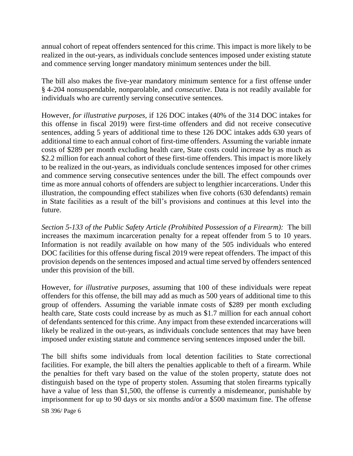annual cohort of repeat offenders sentenced for this crime. This impact is more likely to be realized in the out-years, as individuals conclude sentences imposed under existing statute and commence serving longer mandatory minimum sentences under the bill.

The bill also makes the five-year mandatory minimum sentence for a first offense under § 4-204 nonsuspendable, nonparolable, and *consecutive*. Data is not readily available for individuals who are currently serving consecutive sentences.

However, *for illustrative purposes,* if 126 DOC intakes (40% of the 314 DOC intakes for this offense in fiscal 2019) were first-time offenders and did not receive consecutive sentences, adding 5 years of additional time to these 126 DOC intakes adds 630 years of additional time to each annual cohort of first-time offenders. Assuming the variable inmate costs of \$289 per month excluding health care, State costs could increase by as much as \$2.2 million for each annual cohort of these first-time offenders. This impact is more likely to be realized in the out-years, as individuals conclude sentences imposed for other crimes and commence serving consecutive sentences under the bill. The effect compounds over time as more annual cohorts of offenders are subject to lengthier incarcerations. Under this illustration, the compounding effect stabilizes when five cohorts (630 defendants) remain in State facilities as a result of the bill's provisions and continues at this level into the future.

*Section 5-133 of the Public Safety Article (Prohibited Possession of a Firearm):* The bill increases the maximum incarceration penalty for a repeat offender from 5 to 10 years. Information is not readily available on how many of the 505 individuals who entered DOC facilities for this offense during fiscal 2019 were repeat offenders. The impact of this provision depends on the sentences imposed and actual time served by offenders sentenced under this provision of the bill.

However, f*or illustrative purposes,* assuming that 100 of these individuals were repeat offenders for this offense, the bill may add as much as 500 years of additional time to this group of offenders. Assuming the variable inmate costs of \$289 per month excluding health care, State costs could increase by as much as \$1.7 million for each annual cohort of defendants sentenced for this crime. Any impact from these extended incarcerations will likely be realized in the out-years, as individuals conclude sentences that may have been imposed under existing statute and commence serving sentences imposed under the bill.

The bill shifts some individuals from local detention facilities to State correctional facilities. For example, the bill alters the penalties applicable to theft of a firearm. While the penalties for theft vary based on the value of the stolen property, statute does not distinguish based on the type of property stolen. Assuming that stolen firearms typically have a value of less than \$1,500, the offense is currently a misdemeanor, punishable by imprisonment for up to 90 days or six months and/or a \$500 maximum fine. The offense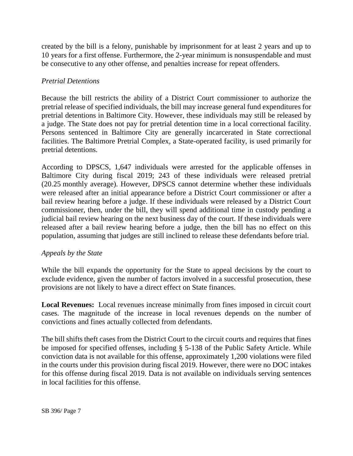created by the bill is a felony, punishable by imprisonment for at least 2 years and up to 10 years for a first offense. Furthermore, the 2-year minimum is nonsuspendable and must be consecutive to any other offense, and penalties increase for repeat offenders.

### *Pretrial Detentions*

Because the bill restricts the ability of a District Court commissioner to authorize the pretrial release of specified individuals, the bill may increase general fund expenditures for pretrial detentions in Baltimore City. However, these individuals may still be released by a judge. The State does not pay for pretrial detention time in a local correctional facility. Persons sentenced in Baltimore City are generally incarcerated in State correctional facilities. The Baltimore Pretrial Complex, a State-operated facility, is used primarily for pretrial detentions.

According to DPSCS, 1,647 individuals were arrested for the applicable offenses in Baltimore City during fiscal 2019; 243 of these individuals were released pretrial (20.25 monthly average). However, DPSCS cannot determine whether these individuals were released after an initial appearance before a District Court commissioner or after a bail review hearing before a judge. If these individuals were released by a District Court commissioner, then, under the bill, they will spend additional time in custody pending a judicial bail review hearing on the next business day of the court. If these individuals were released after a bail review hearing before a judge, then the bill has no effect on this population, assuming that judges are still inclined to release these defendants before trial.

#### *Appeals by the State*

While the bill expands the opportunity for the State to appeal decisions by the court to exclude evidence, given the number of factors involved in a successful prosecution, these provisions are not likely to have a direct effect on State finances.

**Local Revenues:** Local revenues increase minimally from fines imposed in circuit court cases. The magnitude of the increase in local revenues depends on the number of convictions and fines actually collected from defendants.

The bill shifts theft cases from the District Court to the circuit courts and requires that fines be imposed for specified offenses, including § 5-138 of the Public Safety Article. While conviction data is not available for this offense, approximately 1,200 violations were filed in the courts under this provision during fiscal 2019. However, there were no DOC intakes for this offense during fiscal 2019. Data is not available on individuals serving sentences in local facilities for this offense.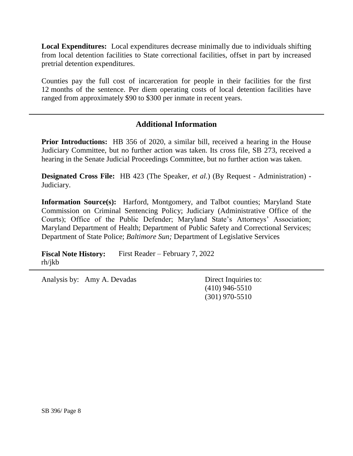**Local Expenditures:** Local expenditures decrease minimally due to individuals shifting from local detention facilities to State correctional facilities, offset in part by increased pretrial detention expenditures.

Counties pay the full cost of incarceration for people in their facilities for the first 12 months of the sentence. Per diem operating costs of local detention facilities have ranged from approximately \$90 to \$300 per inmate in recent years.

## **Additional Information**

**Prior Introductions:** HB 356 of 2020, a similar bill, received a hearing in the House Judiciary Committee, but no further action was taken. Its cross file, SB 273, received a hearing in the Senate Judicial Proceedings Committee, but no further action was taken.

**Designated Cross File:** HB 423 (The Speaker, *et al.*) (By Request - Administration) - Judiciary.

**Information Source(s):** Harford, Montgomery, and Talbot counties; Maryland State Commission on Criminal Sentencing Policy; Judiciary (Administrative Office of the Courts); Office of the Public Defender; Maryland State's Attorneys' Association; Maryland Department of Health; Department of Public Safety and Correctional Services; Department of State Police; *Baltimore Sun;* Department of Legislative Services

**Fiscal Note History:** First Reader – February 7, 2022 rh/jkb

Analysis by: Amy A. Devadas Direct Inquiries to:

(410) 946-5510 (301) 970-5510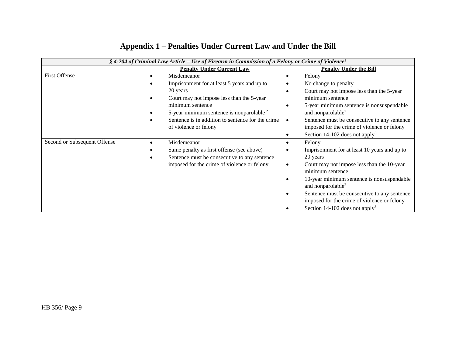| § 4-204 of Criminal Law Article – Use of Firearm in Commission of a Felony or Crime of Violence <sup>1</sup> |                                                                   |                                                                                                          |  |  |  |
|--------------------------------------------------------------------------------------------------------------|-------------------------------------------------------------------|----------------------------------------------------------------------------------------------------------|--|--|--|
|                                                                                                              | <b>Penalty Under Current Law</b>                                  | <b>Penalty Under the Bill</b>                                                                            |  |  |  |
| <b>First Offense</b>                                                                                         | Misdemeanor<br>$\bullet$                                          | Felony<br>٠                                                                                              |  |  |  |
|                                                                                                              | Imprisonment for at least 5 years and up to                       | No change to penalty                                                                                     |  |  |  |
|                                                                                                              | 20 years                                                          | Court may not impose less than the 5-year<br>٠                                                           |  |  |  |
|                                                                                                              | Court may not impose less than the 5-year                         | minimum sentence                                                                                         |  |  |  |
|                                                                                                              | minimum sentence<br>5-year minimum sentence is nonparolable $2^2$ | 5-year minimum sentence is nonsuspendable<br>$\bullet$<br>and nonparolable <sup>2</sup>                  |  |  |  |
|                                                                                                              | Sentence is in addition to sentence for the crime                 | Sentence must be consecutive to any sentence<br>$\bullet$                                                |  |  |  |
|                                                                                                              | of violence or felony                                             | imposed for the crime of violence or felony                                                              |  |  |  |
|                                                                                                              |                                                                   | Section 14-102 does not apply <sup>3</sup><br>٠                                                          |  |  |  |
| Second or Subsequent Offense                                                                                 | Misdemeanor                                                       | Felony<br>٠                                                                                              |  |  |  |
|                                                                                                              | Same penalty as first offense (see above)                         | Imprisonment for at least 10 years and up to<br>٠                                                        |  |  |  |
|                                                                                                              | Sentence must be consecutive to any sentence                      | 20 years                                                                                                 |  |  |  |
|                                                                                                              | imposed for the crime of violence or felony                       | Court may not impose less than the 10-year<br>$\bullet$<br>minimum sentence                              |  |  |  |
|                                                                                                              |                                                                   | 10-year minimum sentence is nonsuspendable<br>٠<br>and nonparolable <sup>2</sup>                         |  |  |  |
|                                                                                                              |                                                                   | Sentence must be consecutive to any sentence<br>$\bullet$<br>imposed for the crime of violence or felony |  |  |  |
|                                                                                                              |                                                                   | Section 14-102 does not apply <sup>3</sup>                                                               |  |  |  |
|                                                                                                              |                                                                   |                                                                                                          |  |  |  |

## **Appendix 1 – Penalties Under Current Law and Under the Bill**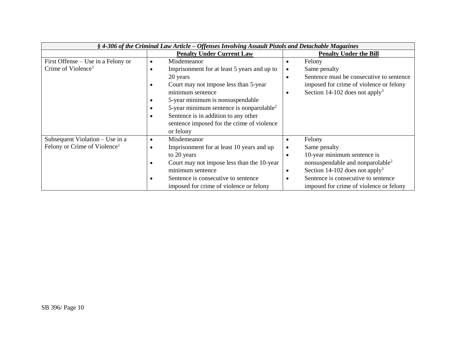| § 4-306 of the Criminal Law Article – Offenses Involving Assault Pistols and Detachable Magazines |                                                      |                                                         |  |  |
|---------------------------------------------------------------------------------------------------|------------------------------------------------------|---------------------------------------------------------|--|--|
|                                                                                                   | <b>Penalty Under Current Law</b>                     | <b>Penalty Under the Bill</b>                           |  |  |
| First Offense – Use in a Felony or                                                                | Misdemeanor<br>$\bullet$                             | Felony<br>٠                                             |  |  |
| Crime of Violence <sup>1</sup>                                                                    | Imprisonment for at least 5 years and up to          | Same penalty<br>$\bullet$                               |  |  |
|                                                                                                   | 20 years                                             | Sentence must be consecutive to sentence<br>$\bullet$   |  |  |
|                                                                                                   | Court may not impose less than 5-year                | imposed for crime of violence or felony                 |  |  |
|                                                                                                   | minimum sentence                                     | Section 14-102 does not apply <sup>3</sup><br>$\bullet$ |  |  |
|                                                                                                   | 5-year minimum is nonsuspendable                     |                                                         |  |  |
|                                                                                                   | 5-year minimum sentence is nonparolable <sup>2</sup> |                                                         |  |  |
|                                                                                                   | Sentence is in addition to any other                 |                                                         |  |  |
|                                                                                                   | sentence imposed for the crime of violence           |                                                         |  |  |
|                                                                                                   | or felony                                            |                                                         |  |  |
| Subsequent Violation - Use in a                                                                   | Misdemeanor                                          | Felony<br>$\bullet$                                     |  |  |
| Felony or Crime of Violence <sup>1</sup>                                                          | Imprisonment for at least 10 years and up            | Same penalty<br>$\bullet$                               |  |  |
|                                                                                                   | to 20 years                                          | 10-year minimum sentence is<br>$\bullet$                |  |  |
|                                                                                                   | Court may not impose less than the 10-year           | nonsuspendable and nonparolable <sup>2</sup>            |  |  |
|                                                                                                   | minimum sentence                                     | Section 14-102 does not apply <sup>3</sup><br>$\bullet$ |  |  |
|                                                                                                   | Sentence is consecutive to sentence                  | Sentence is consecutive to sentence<br>$\bullet$        |  |  |
|                                                                                                   | imposed for crime of violence or felony              | imposed for crime of violence or felony                 |  |  |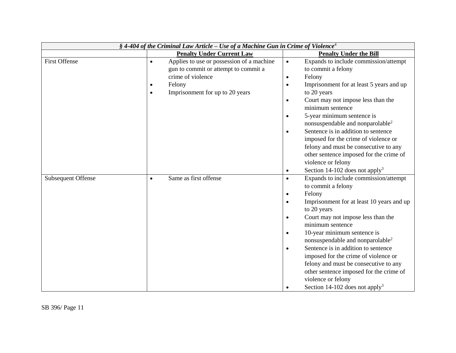| § 4-404 of the Criminal Law Article – Use of a Machine Gun in Crime of Violence <sup>4</sup> |                                                        |                                                         |  |  |
|----------------------------------------------------------------------------------------------|--------------------------------------------------------|---------------------------------------------------------|--|--|
|                                                                                              | <b>Penalty Under Current Law</b>                       | <b>Penalty Under the Bill</b>                           |  |  |
| <b>First Offense</b>                                                                         | Applies to use or possession of a machine<br>$\bullet$ | Expands to include commission/attempt<br>$\bullet$      |  |  |
|                                                                                              | gun to commit or attempt to commit a                   | to commit a felony                                      |  |  |
|                                                                                              | crime of violence                                      | Felony<br>$\bullet$                                     |  |  |
|                                                                                              | Felony                                                 | Imprisonment for at least 5 years and up<br>$\bullet$   |  |  |
|                                                                                              | Imprisonment for up to 20 years<br>$\bullet$           | to 20 years                                             |  |  |
|                                                                                              |                                                        | Court may not impose less than the<br>$\bullet$         |  |  |
|                                                                                              |                                                        | minimum sentence                                        |  |  |
|                                                                                              |                                                        | 5-year minimum sentence is<br>$\bullet$                 |  |  |
|                                                                                              |                                                        | nonsuspendable and nonparolable <sup>2</sup>            |  |  |
|                                                                                              |                                                        | Sentence is in addition to sentence<br>$\bullet$        |  |  |
|                                                                                              |                                                        | imposed for the crime of violence or                    |  |  |
|                                                                                              |                                                        | felony and must be consecutive to any                   |  |  |
|                                                                                              |                                                        | other sentence imposed for the crime of                 |  |  |
|                                                                                              |                                                        | violence or felony                                      |  |  |
|                                                                                              |                                                        | Section 14-102 does not apply <sup>3</sup><br>$\bullet$ |  |  |
| <b>Subsequent Offense</b>                                                                    | Same as first offense<br>$\bullet$                     | Expands to include commission/attempt<br>$\bullet$      |  |  |
|                                                                                              |                                                        | to commit a felony                                      |  |  |
|                                                                                              |                                                        | Felony<br>$\bullet$                                     |  |  |
|                                                                                              |                                                        | Imprisonment for at least 10 years and up<br>$\bullet$  |  |  |
|                                                                                              |                                                        | to 20 years                                             |  |  |
|                                                                                              |                                                        | Court may not impose less than the<br>$\bullet$         |  |  |
|                                                                                              |                                                        | minimum sentence                                        |  |  |
|                                                                                              |                                                        | 10-year minimum sentence is<br>$\bullet$                |  |  |
|                                                                                              |                                                        | nonsuspendable and nonparolable <sup>2</sup>            |  |  |
|                                                                                              |                                                        | Sentence is in addition to sentence<br>$\bullet$        |  |  |
|                                                                                              |                                                        | imposed for the crime of violence or                    |  |  |
|                                                                                              |                                                        | felony and must be consecutive to any                   |  |  |
|                                                                                              |                                                        | other sentence imposed for the crime of                 |  |  |
|                                                                                              |                                                        | violence or felony                                      |  |  |
|                                                                                              |                                                        | Section 14-102 does not apply <sup>3</sup><br>$\bullet$ |  |  |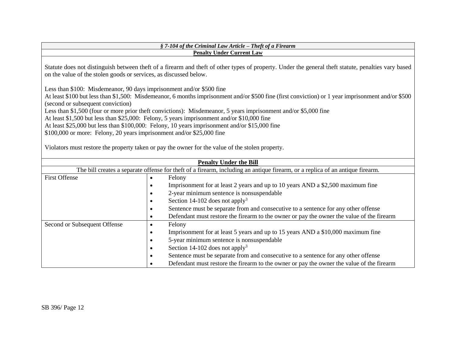#### *§ 7-104 of the Criminal Law Article – Theft of a Firearm* **Penalty Under Current Law**

Statute does not distinguish between theft of a firearm and theft of other types of property. Under the general theft statute, penalties vary based on the value of the stolen goods or services, as discussed below.

Less than \$100: Misdemeanor, 90 days imprisonment and/or \$500 fine

At least \$100 but less than \$1,500: Misdemeanor, 6 months imprisonment and/or \$500 fine (first conviction) or 1 year imprisonment and/or \$500 (second or subsequent conviction)

Less than \$1,500 (four or more prior theft convictions): Misdemeanor, 5 years imprisonment and/or \$5,000 fine

At least \$1,500 but less than \$25,000: Felony, 5 years imprisonment and/or \$10,000 fine

At least \$25,000 but less than \$100,000: Felony, 10 years imprisonment and/or \$15,000 fine

\$100,000 or more: Felony, 20 years imprisonment and/or \$25,000 fine

Violators must restore the property taken or pay the owner for the value of the stolen property.

| <b>Penalty Under the Bill</b> |                                                                                                                               |  |  |  |  |
|-------------------------------|-------------------------------------------------------------------------------------------------------------------------------|--|--|--|--|
|                               | The bill creates a separate offense for theft of a firearm, including an antique firearm, or a replica of an antique firearm. |  |  |  |  |
| <b>First Offense</b>          | Felony                                                                                                                        |  |  |  |  |
|                               | Imprisonment for at least 2 years and up to 10 years AND a \$2,500 maximum fine<br>$\bullet$                                  |  |  |  |  |
|                               | 2-year minimum sentence is nonsuspendable                                                                                     |  |  |  |  |
|                               | Section 14-102 does not apply <sup>3</sup>                                                                                    |  |  |  |  |
|                               | Sentence must be separate from and consecutive to a sentence for any other offense<br>$\bullet$                               |  |  |  |  |
|                               | Defendant must restore the firearm to the owner or pay the owner the value of the firearm                                     |  |  |  |  |
| Second or Subsequent Offense  | Felony                                                                                                                        |  |  |  |  |
|                               | Imprisonment for at least 5 years and up to 15 years AND a \$10,000 maximum fine<br>$\bullet$                                 |  |  |  |  |
|                               | 5-year minimum sentence is nonsuspendable                                                                                     |  |  |  |  |
|                               | Section 14-102 does not apply <sup>3</sup>                                                                                    |  |  |  |  |
|                               | Sentence must be separate from and consecutive to a sentence for any other offense<br>$\bullet$                               |  |  |  |  |
|                               | Defendant must restore the firearm to the owner or pay the owner the value of the firearm                                     |  |  |  |  |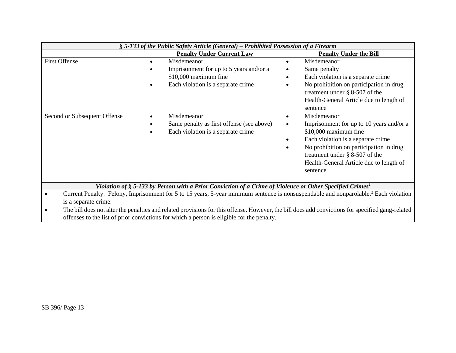| § 5-133 of the Public Safety Article (General) – Prohibited Possession of a Firearm                                                                                                                                                                                                                                                                                                                                       |                                                                                                                                                      |                                                                                                                                                                                                                                                                                                                   |  |  |
|---------------------------------------------------------------------------------------------------------------------------------------------------------------------------------------------------------------------------------------------------------------------------------------------------------------------------------------------------------------------------------------------------------------------------|------------------------------------------------------------------------------------------------------------------------------------------------------|-------------------------------------------------------------------------------------------------------------------------------------------------------------------------------------------------------------------------------------------------------------------------------------------------------------------|--|--|
|                                                                                                                                                                                                                                                                                                                                                                                                                           | <b>Penalty Under Current Law</b>                                                                                                                     | <b>Penalty Under the Bill</b>                                                                                                                                                                                                                                                                                     |  |  |
| <b>First Offense</b>                                                                                                                                                                                                                                                                                                                                                                                                      | Misdemeanor<br>$\bullet$<br>Imprisonment for up to 5 years and/or a<br>٠<br>\$10,000 maximum fine<br>Each violation is a separate crime<br>$\bullet$ | Misdemeanor<br>$\bullet$<br>Same penalty<br>$\bullet$<br>Each violation is a separate crime<br>$\bullet$<br>No prohibition on participation in drug<br>$\bullet$<br>treatment under $\S$ 8-507 of the<br>Health-General Article due to length of<br>sentence                                                      |  |  |
| Second or Subsequent Offense                                                                                                                                                                                                                                                                                                                                                                                              | Misdemeanor<br>$\bullet$<br>Same penalty as first offense (see above)<br>٠<br>Each violation is a separate crime<br>$\bullet$                        | Misdemeanor<br>$\bullet$<br>Imprisonment for up to 10 years and/or a<br>$\bullet$<br>\$10,000 maximum fine<br>Each violation is a separate crime<br>$\bullet$<br>No prohibition on participation in drug<br>$\bullet$<br>treatment under $\S$ 8-507 of the<br>Health-General Article due to length of<br>sentence |  |  |
| Violation of § 5-133 by Person with a Prior Conviction of a Crime of Violence or Other Specified Crimes <sup>1</sup>                                                                                                                                                                                                                                                                                                      |                                                                                                                                                      |                                                                                                                                                                                                                                                                                                                   |  |  |
| Current Penalty: Felony, Imprisonment for 5 to 15 years, 5-year minimum sentence is nonsuspendable and nonparolable. <sup>2</sup> Each violation<br>is a separate crime.<br>The bill does not alter the penalties and related provisions for this offense. However, the bill does add convictions for specified gang-related<br>offenses to the list of prior convictions for which a person is eligible for the penalty. |                                                                                                                                                      |                                                                                                                                                                                                                                                                                                                   |  |  |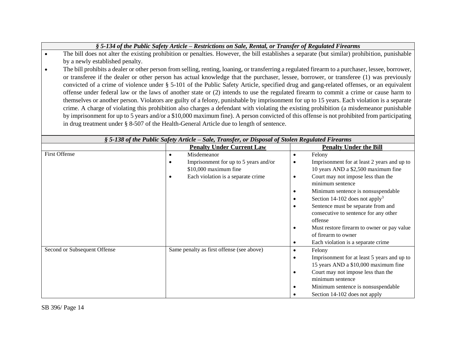| § 5-134 of the Public Safety Article – Restrictions on Sale, Rental, or Transfer of Regulated Firearms |  |  |
|--------------------------------------------------------------------------------------------------------|--|--|
|--------------------------------------------------------------------------------------------------------|--|--|

- The bill does not alter the existing prohibition or penalties. However, the bill establishes a separate (but similar) prohibition, punishable by a newly established penalty.
- The bill prohibits a dealer or other person from selling, renting, loaning, or transferring a regulated firearm to a purchaser, lessee, borrower, or transferee if the dealer or other person has actual knowledge that the purchaser, lessee, borrower, or transferee (1) was previously convicted of a crime of violence under § 5-101 of the Public Safety Article, specified drug and gang-related offenses, or an equivalent offense under federal law or the laws of another state or (2) intends to use the regulated firearm to commit a crime or cause harm to themselves or another person. Violators are guilty of a felony, punishable by imprisonment for up to 15 years. Each violation is a separate crime. A charge of violating this prohibition also charges a defendant with violating the existing prohibition (a misdemeanor punishable by imprisonment for up to 5 years and/or a \$10,000 maximum fine). A person convicted of this offense is not prohibited from participating in drug treatment under § 8-507 of the Health-General Article due to length of sentence.

| § 5-138 of the Public Safety Article – Sale, Transfer, or Disposal of Stolen Regulated Firearms |                                                                   |           |                                                                                     |  |
|-------------------------------------------------------------------------------------------------|-------------------------------------------------------------------|-----------|-------------------------------------------------------------------------------------|--|
|                                                                                                 | <b>Penalty Under Current Law</b><br><b>Penalty Under the Bill</b> |           |                                                                                     |  |
| <b>First Offense</b>                                                                            | Misdemeanor<br>$\bullet$                                          | ٠         | Felony                                                                              |  |
|                                                                                                 | Imprisonment for up to 5 years and/or<br>$$10,000$ maximum fine   | ٠         | Imprisonment for at least 2 years and up to<br>10 years AND a \$2,500 maximum fine  |  |
|                                                                                                 | Each violation is a separate crime                                | ٠         | Court may not impose less than the<br>minimum sentence                              |  |
|                                                                                                 |                                                                   |           | Minimum sentence is nonsuspendable                                                  |  |
|                                                                                                 |                                                                   | ٠         | Section 14-102 does not apply <sup>3</sup>                                          |  |
|                                                                                                 |                                                                   | $\bullet$ | Sentence must be separate from and<br>consecutive to sentence for any other         |  |
|                                                                                                 |                                                                   |           | offense                                                                             |  |
|                                                                                                 |                                                                   | ٠         | Must restore firearm to owner or pay value                                          |  |
|                                                                                                 |                                                                   |           | of firearm to owner                                                                 |  |
|                                                                                                 |                                                                   | ٠         | Each violation is a separate crime                                                  |  |
| Second or Subsequent Offense                                                                    | Same penalty as first offense (see above)                         | $\bullet$ | Felony                                                                              |  |
|                                                                                                 |                                                                   |           | Imprisonment for at least 5 years and up to<br>15 years AND a \$10,000 maximum fine |  |
|                                                                                                 |                                                                   | ٠         | Court may not impose less than the                                                  |  |
|                                                                                                 |                                                                   |           | minimum sentence                                                                    |  |
|                                                                                                 |                                                                   | ٠         | Minimum sentence is nonsuspendable                                                  |  |
|                                                                                                 |                                                                   |           | Section 14-102 does not apply                                                       |  |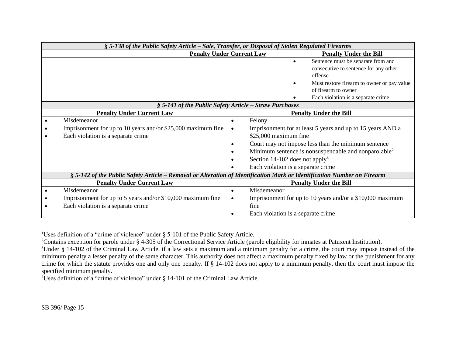|                                                        | § 5-138 of the Public Safety Article - Sale, Transfer, or Disposal of Stolen Regulated Firearms                         |                                  |                                            |                                                                  |  |
|--------------------------------------------------------|-------------------------------------------------------------------------------------------------------------------------|----------------------------------|--------------------------------------------|------------------------------------------------------------------|--|
|                                                        |                                                                                                                         | <b>Penalty Under Current Law</b> |                                            | <b>Penalty Under the Bill</b>                                    |  |
|                                                        |                                                                                                                         |                                  |                                            | Sentence must be separate from and<br>$\bullet$                  |  |
|                                                        |                                                                                                                         |                                  |                                            | consecutive to sentence for any other                            |  |
|                                                        |                                                                                                                         |                                  |                                            | offense                                                          |  |
|                                                        |                                                                                                                         |                                  |                                            | Must restore firearm to owner or pay value                       |  |
|                                                        |                                                                                                                         |                                  |                                            | of firearm to owner                                              |  |
|                                                        |                                                                                                                         |                                  |                                            | Each violation is a separate crime                               |  |
| § 5-141 of the Public Safety Article – Straw Purchases |                                                                                                                         |                                  |                                            |                                                                  |  |
|                                                        | <b>Penalty Under Current Law</b>                                                                                        |                                  |                                            | <b>Penalty Under the Bill</b>                                    |  |
|                                                        | Misdemeanor                                                                                                             | $\bullet$                        | Felony                                     |                                                                  |  |
|                                                        | Imprisonment for up to 10 years and/or \$25,000 maximum fine<br>$\bullet$                                               |                                  |                                            | Imprisonment for at least 5 years and up to 15 years AND a       |  |
|                                                        | Each violation is a separate crime                                                                                      | $$25,000$ maximum fine           |                                            |                                                                  |  |
|                                                        |                                                                                                                         | $\bullet$                        |                                            | Court may not impose less than the minimum sentence              |  |
|                                                        |                                                                                                                         | $\bullet$                        |                                            | Minimum sentence is nonsuspendable and nonparolable <sup>2</sup> |  |
|                                                        |                                                                                                                         |                                  | Section 14-102 does not apply <sup>3</sup> |                                                                  |  |
|                                                        |                                                                                                                         |                                  |                                            | Each violation is a separate crime                               |  |
|                                                        | § 5-142 of the Public Safety Article – Removal or Alteration of Identification Mark or Identification Number on Firearm |                                  |                                            |                                                                  |  |
|                                                        | <b>Penalty Under Current Law</b>                                                                                        |                                  |                                            | <b>Penalty Under the Bill</b>                                    |  |
|                                                        | Misdemeanor                                                                                                             | $\bullet$                        | Misdemeanor                                |                                                                  |  |
|                                                        | Imprisonment for up to 5 years and/or \$10,000 maximum fine                                                             | $\bullet$                        |                                            | Imprisonment for up to 10 years and/or a $$10,000$ maximum       |  |
|                                                        | Each violation is a separate crime                                                                                      |                                  | fine                                       |                                                                  |  |
|                                                        |                                                                                                                         |                                  |                                            | Each violation is a separate crime.                              |  |

<sup>1</sup>Uses definition of a "crime of violence" under § 5-101 of the Public Safety Article.

<sup>2</sup>Contains exception for parole under § 4-305 of the Correctional Service Article (parole eligibility for inmates at Patuxent Institution).

 $3$ Under § 14-102 of the Criminal Law Article, if a law sets a maximum and a minimum penalty for a crime, the court may impose instead of the minimum penalty a lesser penalty of the same character. This authority does not affect a maximum penalty fixed by law or the punishment for any crime for which the statute provides one and only one penalty. If § 14-102 does not apply to a minimum penalty, then the court must impose the specified minimum penalty.

<sup>4</sup>Uses definition of a "crime of violence" under § 14-101 of the Criminal Law Article.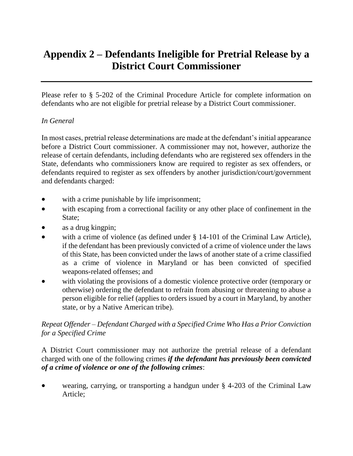# **Appendix 2 – Defendants Ineligible for Pretrial Release by a District Court Commissioner**

Please refer to § 5-202 of the Criminal Procedure Article for complete information on defendants who are not eligible for pretrial release by a District Court commissioner.

#### *In General*

In most cases, pretrial release determinations are made at the defendant's initial appearance before a District Court commissioner. A commissioner may not, however, authorize the release of certain defendants, including defendants who are registered sex offenders in the State, defendants who commissioners know are required to register as sex offenders, or defendants required to register as sex offenders by another jurisdiction/court/government and defendants charged:

- with a crime punishable by life imprisonment;
- with escaping from a correctional facility or any other place of confinement in the State;
- as a drug kingpin;
- with a crime of violence (as defined under § 14-101 of the Criminal Law Article), if the defendant has been previously convicted of a crime of violence under the laws of this State, has been convicted under the laws of another state of a crime classified as a crime of violence in Maryland or has been convicted of specified weapons-related offenses; and
- with violating the provisions of a domestic violence protective order (temporary or otherwise) ordering the defendant to refrain from abusing or threatening to abuse a person eligible for relief (applies to orders issued by a court in Maryland, by another state, or by a Native American tribe).

#### *Repeat Offender – Defendant Charged with a Specified Crime Who Has a Prior Conviction for a Specified Crime*

A District Court commissioner may not authorize the pretrial release of a defendant charged with one of the following crimes *if the defendant has previously been convicted of a crime of violence or one of the following crimes*:

 wearing, carrying, or transporting a handgun under § 4-203 of the Criminal Law Article;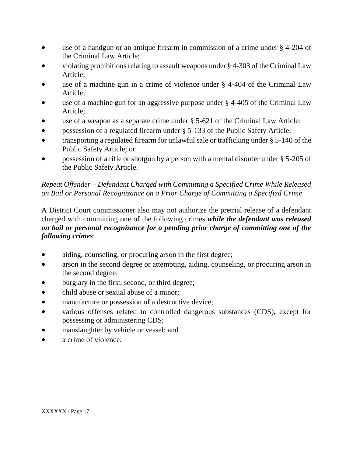- use of a handgun or an antique firearm in commission of a crime under § 4-204 of the Criminal Law Article;
- violating prohibitions relating to assault weapons under § 4-303 of the Criminal Law Article;
- use of a machine gun in a crime of violence under § 4-404 of the Criminal Law Article;
- use of a machine gun for an aggressive purpose under § 4-405 of the Criminal Law Article;
- use of a weapon as a separate crime under § 5-621 of the Criminal Law Article;
- possession of a regulated firearm under § 5-133 of the Public Safety Article;
- transporting a regulated firearm for unlawful sale or trafficking under § 5-140 of the Public Safety Article; or
- possession of a rifle or shotgun by a person with a mental disorder under § 5-205 of the Public Safety Article.

## *Repeat Offender – Defendant Charged with Committing a Specified Crime While Released on Bail or Personal Recognizance on a Prior Charge of Committing a Specified Crime*

A District Court commissioner also may not authorize the pretrial release of a defendant charged with committing one of the following crimes *while the defendant was released on bail or personal recognizance for a pending prior charge of committing one of the following crimes*:

- aiding, counseling, or procuring arson in the first degree;
- arson in the second degree or attempting, aiding, counseling, or procuring arson in the second degree;
- burglary in the first, second, or third degree;
- child abuse or sexual abuse of a minor:
- manufacture or possession of a destructive device;
- various offenses related to controlled dangerous substances (CDS), except for possessing or administering CDS;
- manslaughter by vehicle or vessel; and
- a crime of violence.